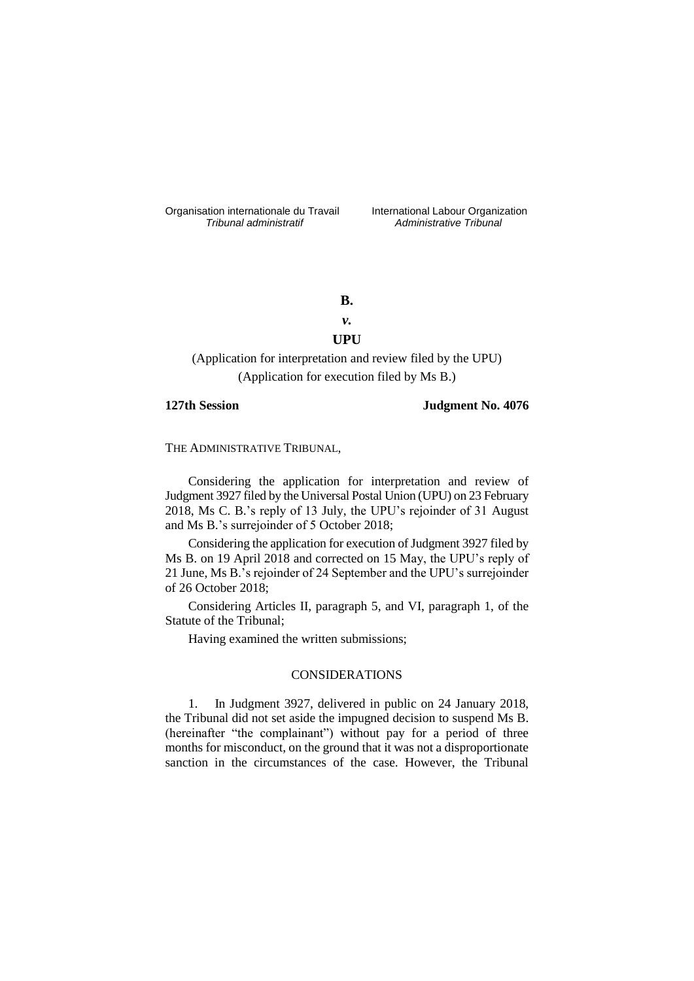Organisation internationale du Travail liternational Labour Organization<br> *Tribunal administratif Administrative Tribunal* 

*Tribunal administratif Administrative Tribunal*

# **B.**

# *v.* **UPU**

(Application for interpretation and review filed by the UPU) (Application for execution filed by Ms B.)

# **127th Session Judgment No. 4076**

THE ADMINISTRATIVE TRIBUNAL,

Considering the application for interpretation and review of Judgment 3927 filed by the Universal Postal Union (UPU) on 23 February 2018, Ms C. B.'s reply of 13 July, the UPU's rejoinder of 31 August and Ms B.'s surrejoinder of 5 October 2018;

Considering the application for execution of Judgment 3927 filed by Ms B. on 19 April 2018 and corrected on 15 May, the UPU's reply of 21 June, Ms B.'s rejoinder of 24 September and the UPU's surrejoinder of 26 October 2018;

Considering Articles II, paragraph 5, and VI, paragraph 1, of the Statute of the Tribunal;

Having examined the written submissions;

# CONSIDERATIONS

1. In Judgment 3927, delivered in public on 24 January 2018, the Tribunal did not set aside the impugned decision to suspend Ms B. (hereinafter "the complainant") without pay for a period of three months for misconduct, on the ground that it was not a disproportionate sanction in the circumstances of the case. However, the Tribunal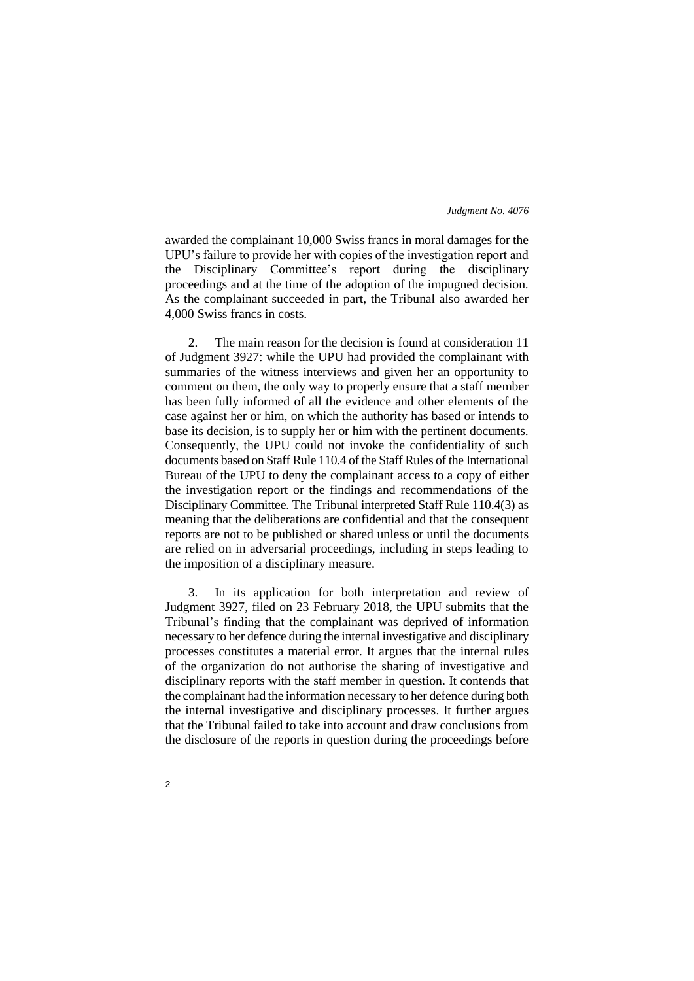awarded the complainant 10,000 Swiss francs in moral damages for the UPU's failure to provide her with copies of the investigation report and the Disciplinary Committee's report during the disciplinary proceedings and at the time of the adoption of the impugned decision. As the complainant succeeded in part, the Tribunal also awarded her 4,000 Swiss francs in costs.

2. The main reason for the decision is found at consideration 11 of Judgment 3927: while the UPU had provided the complainant with summaries of the witness interviews and given her an opportunity to comment on them, the only way to properly ensure that a staff member has been fully informed of all the evidence and other elements of the case against her or him, on which the authority has based or intends to base its decision, is to supply her or him with the pertinent documents. Consequently, the UPU could not invoke the confidentiality of such documents based on Staff Rule 110.4 of the Staff Rules of the International Bureau of the UPU to deny the complainant access to a copy of either the investigation report or the findings and recommendations of the Disciplinary Committee. The Tribunal interpreted Staff Rule 110.4(3) as meaning that the deliberations are confidential and that the consequent reports are not to be published or shared unless or until the documents are relied on in adversarial proceedings, including in steps leading to the imposition of a disciplinary measure.

3. In its application for both interpretation and review of Judgment 3927, filed on 23 February 2018, the UPU submits that the Tribunal's finding that the complainant was deprived of information necessary to her defence during the internal investigative and disciplinary processes constitutes a material error. It argues that the internal rules of the organization do not authorise the sharing of investigative and disciplinary reports with the staff member in question. It contends that the complainant had the information necessary to her defence during both the internal investigative and disciplinary processes. It further argues that the Tribunal failed to take into account and draw conclusions from the disclosure of the reports in question during the proceedings before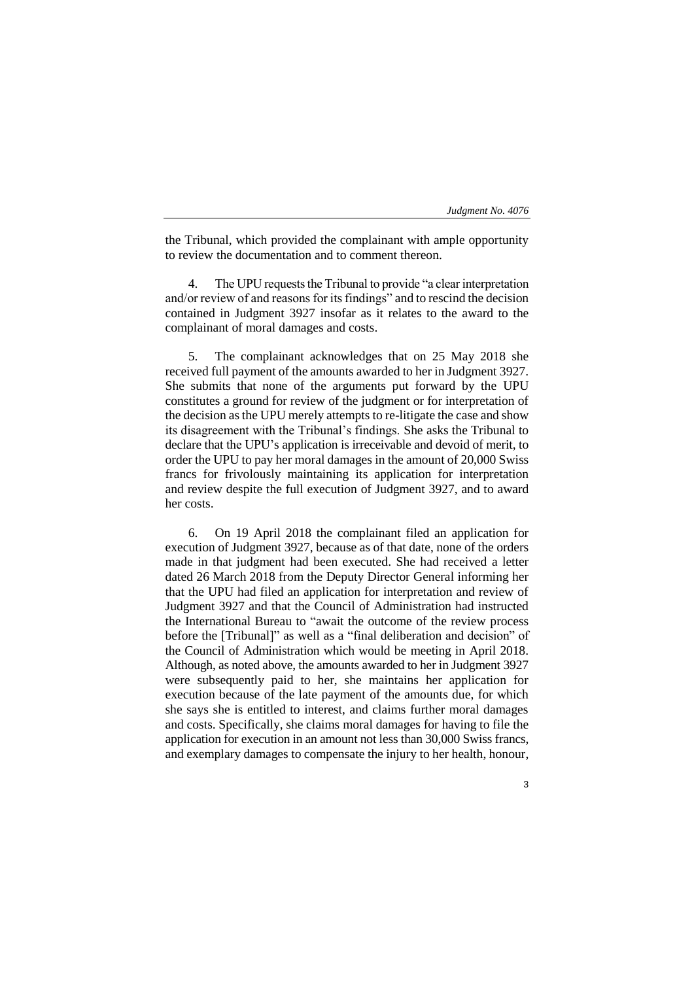the Tribunal, which provided the complainant with ample opportunity to review the documentation and to comment thereon.

The UPU requests the Tribunal to provide "a clear interpretation" and/or review of and reasons for its findings" and to rescind the decision contained in Judgment 3927 insofar as it relates to the award to the complainant of moral damages and costs.

5. The complainant acknowledges that on 25 May 2018 she received full payment of the amounts awarded to her in Judgment 3927. She submits that none of the arguments put forward by the UPU constitutes a ground for review of the judgment or for interpretation of the decision as the UPU merely attempts to re-litigate the case and show its disagreement with the Tribunal's findings. She asks the Tribunal to declare that the UPU's application is irreceivable and devoid of merit, to order the UPU to pay her moral damages in the amount of 20,000 Swiss francs for frivolously maintaining its application for interpretation and review despite the full execution of Judgment 3927, and to award her costs.

6. On 19 April 2018 the complainant filed an application for execution of Judgment 3927, because as of that date, none of the orders made in that judgment had been executed. She had received a letter dated 26 March 2018 from the Deputy Director General informing her that the UPU had filed an application for interpretation and review of Judgment 3927 and that the Council of Administration had instructed the International Bureau to "await the outcome of the review process before the [Tribunal]" as well as a "final deliberation and decision" of the Council of Administration which would be meeting in April 2018. Although, as noted above, the amounts awarded to her in Judgment 3927 were subsequently paid to her, she maintains her application for execution because of the late payment of the amounts due, for which she says she is entitled to interest, and claims further moral damages and costs. Specifically, she claims moral damages for having to file the application for execution in an amount not less than 30,000 Swiss francs, and exemplary damages to compensate the injury to her health, honour,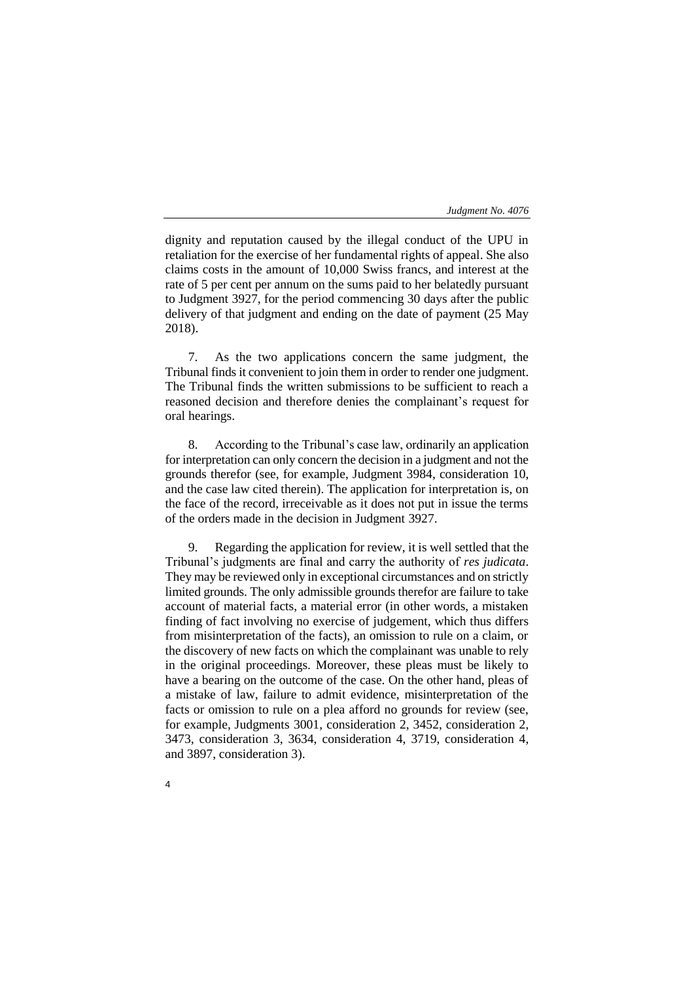dignity and reputation caused by the illegal conduct of the UPU in retaliation for the exercise of her fundamental rights of appeal. She also claims costs in the amount of 10,000 Swiss francs, and interest at the rate of 5 per cent per annum on the sums paid to her belatedly pursuant to Judgment 3927, for the period commencing 30 days after the public delivery of that judgment and ending on the date of payment (25 May 2018).

7. As the two applications concern the same judgment, the Tribunal finds it convenient to join them in order to render one judgment. The Tribunal finds the written submissions to be sufficient to reach a reasoned decision and therefore denies the complainant's request for oral hearings.

8. According to the Tribunal's case law, ordinarily an application for interpretation can only concern the decision in a judgment and not the grounds therefor (see, for example, Judgment 3984, consideration 10, and the case law cited therein). The application for interpretation is, on the face of the record, irreceivable as it does not put in issue the terms of the orders made in the decision in Judgment 3927.

9. Regarding the application for review, it is well settled that the Tribunal's judgments are final and carry the authority of *res judicata*. They may be reviewed only in exceptional circumstances and on strictly limited grounds. The only admissible grounds therefor are failure to take account of material facts, a material error (in other words, a mistaken finding of fact involving no exercise of judgement, which thus differs from misinterpretation of the facts), an omission to rule on a claim, or the discovery of new facts on which the complainant was unable to rely in the original proceedings. Moreover, these pleas must be likely to have a bearing on the outcome of the case. On the other hand, pleas of a mistake of law, failure to admit evidence, misinterpretation of the facts or omission to rule on a plea afford no grounds for review (see, for example, Judgments 3001, consideration 2, 3452, consideration 2, 3473, consideration 3, 3634, consideration 4, 3719, consideration 4, and 3897, consideration 3).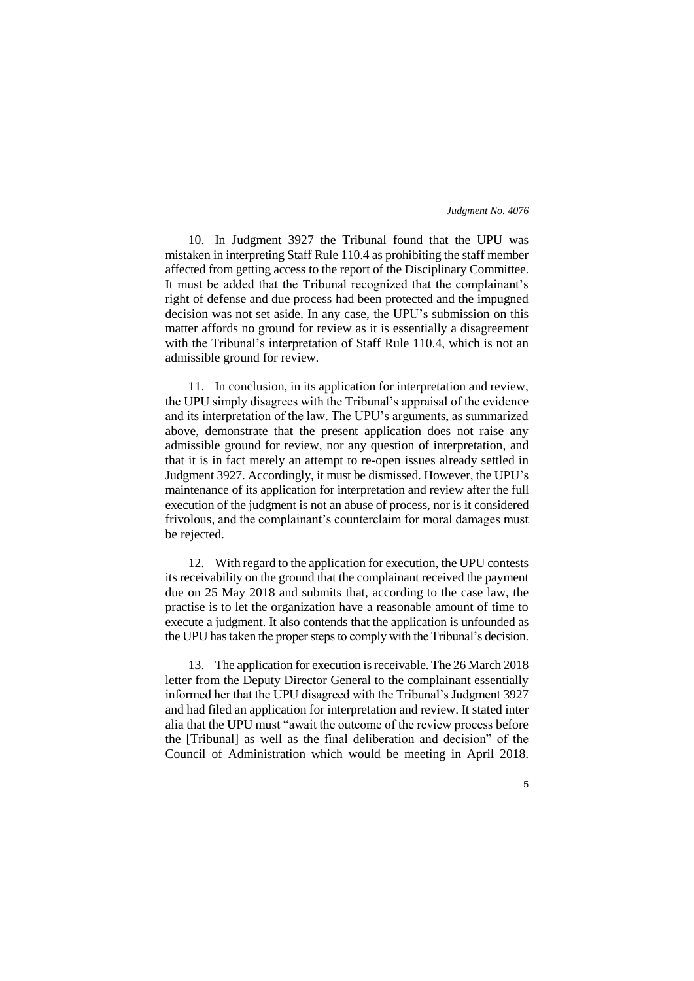10. In Judgment 3927 the Tribunal found that the UPU was mistaken in interpreting Staff Rule 110.4 as prohibiting the staff member affected from getting access to the report of the Disciplinary Committee. It must be added that the Tribunal recognized that the complainant's right of defense and due process had been protected and the impugned decision was not set aside. In any case, the UPU's submission on this matter affords no ground for review as it is essentially a disagreement with the Tribunal's interpretation of Staff Rule 110.4, which is not an admissible ground for review.

11. In conclusion, in its application for interpretation and review, the UPU simply disagrees with the Tribunal's appraisal of the evidence and its interpretation of the law. The UPU's arguments, as summarized above, demonstrate that the present application does not raise any admissible ground for review, nor any question of interpretation, and that it is in fact merely an attempt to re-open issues already settled in Judgment 3927. Accordingly, it must be dismissed. However, the UPU's maintenance of its application for interpretation and review after the full execution of the judgment is not an abuse of process, nor is it considered frivolous, and the complainant's counterclaim for moral damages must be rejected.

12. With regard to the application for execution, the UPU contests its receivability on the ground that the complainant received the payment due on 25 May 2018 and submits that, according to the case law, the practise is to let the organization have a reasonable amount of time to execute a judgment. It also contends that the application is unfounded as the UPU has taken the proper steps to comply with the Tribunal's decision.

13. The application for execution is receivable. The 26 March 2018 letter from the Deputy Director General to the complainant essentially informed her that the UPU disagreed with the Tribunal's Judgment 3927 and had filed an application for interpretation and review. It stated inter alia that the UPU must "await the outcome of the review process before the [Tribunal] as well as the final deliberation and decision" of the Council of Administration which would be meeting in April 2018.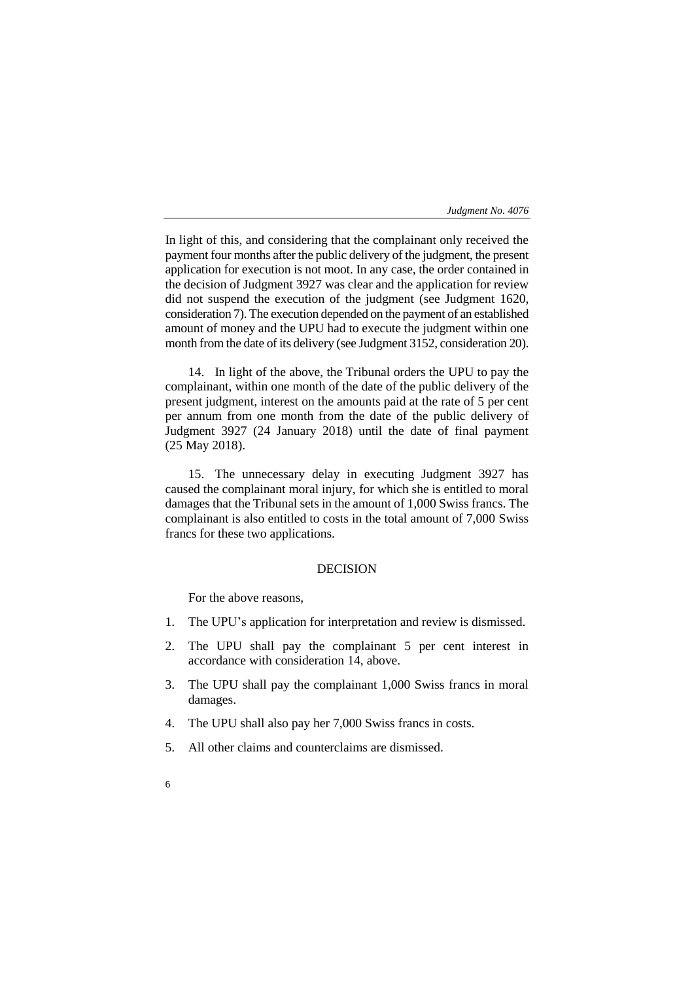In light of this, and considering that the complainant only received the payment four months after the public delivery of the judgment, the present application for execution is not moot. In any case, the order contained in the decision of Judgment 3927 was clear and the application for review did not suspend the execution of the judgment (see Judgment 1620, consideration 7). The execution depended on the payment of an established amount of money and the UPU had to execute the judgment within one month from the date of its delivery (see Judgment 3152, consideration 20).

14. In light of the above, the Tribunal orders the UPU to pay the complainant, within one month of the date of the public delivery of the present judgment, interest on the amounts paid at the rate of 5 per cent per annum from one month from the date of the public delivery of Judgment 3927 (24 January 2018) until the date of final payment (25 May 2018).

15. The unnecessary delay in executing Judgment 3927 has caused the complainant moral injury, for which she is entitled to moral damages that the Tribunal sets in the amount of 1,000 Swiss francs. The complainant is also entitled to costs in the total amount of 7,000 Swiss francs for these two applications.

# DECISION

For the above reasons,

- 1. The UPU's application for interpretation and review is dismissed.
- 2. The UPU shall pay the complainant 5 per cent interest in accordance with consideration 14, above.
- 3. The UPU shall pay the complainant 1,000 Swiss francs in moral damages.
- 4. The UPU shall also pay her 7,000 Swiss francs in costs.
- 5. All other claims and counterclaims are dismissed.
- 6